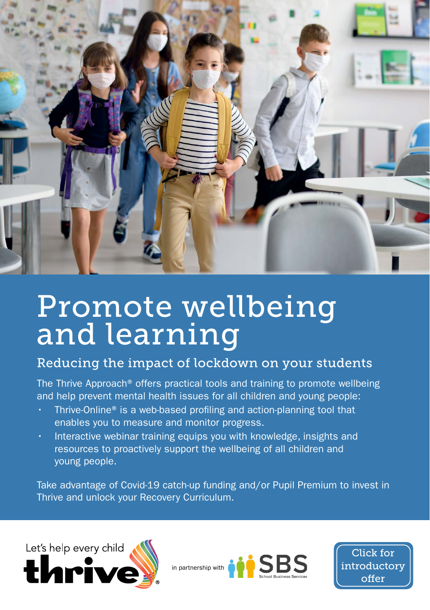

# Promote wellbeing and learning

#### Reducing the impact of lockdown on your students

The Thrive Approach® offers practical tools and training to promote wellbeing and help prevent mental health issues for all children and young people:

- Thrive-Online® is a web-based profiling and action-planning tool that enables you to measure and monitor progress.
- Interactive webinar training equips you with knowledge, insights and resources to proactively support the wellbeing of all children and young people.

Take advantage of Covid-19 catch-up funding and/or Pupil Premium to invest in Thrive and unlock your Recovery Curriculum.





Click for [introductory](#page-1-0)  offer